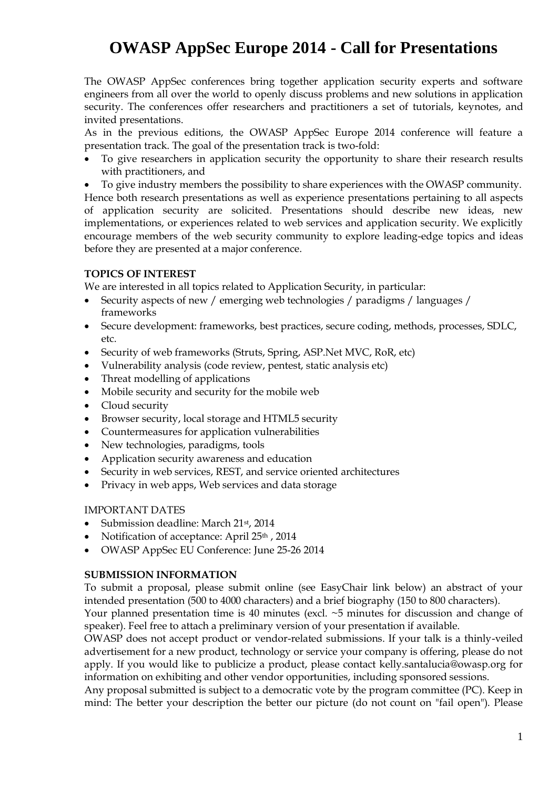## **OWASP AppSec Europe 2014 - Call for Presentations**

The OWASP AppSec conferences bring together application security experts and software engineers from all over the world to openly discuss problems and new solutions in application security. The conferences offer researchers and practitioners a set of tutorials, keynotes, and invited presentations.

As in the previous editions, the OWASP AppSec Europe 2014 conference will feature a presentation track. The goal of the presentation track is two-fold:

 To give researchers in application security the opportunity to share their research results with practitioners, and

 To give industry members the possibility to share experiences with the OWASP community. Hence both research presentations as well as experience presentations pertaining to all aspects of application security are solicited. Presentations should describe new ideas, new implementations, or experiences related to web services and application security. We explicitly encourage members of the web security community to explore leading-edge topics and ideas before they are presented at a major conference.

## **TOPICS OF INTEREST**

We are interested in all topics related to Application Security, in particular:

- Security aspects of new / emerging web technologies / paradigms / languages / frameworks
- Secure development: frameworks, best practices, secure coding, methods, processes, SDLC, etc.
- Security of web frameworks (Struts, Spring, ASP.Net MVC, RoR, etc)
- Vulnerability analysis (code review, pentest, static analysis etc)
- Threat modelling of applications
- Mobile security and security for the mobile web
- Cloud security
- Browser security, local storage and HTML5 security
- Countermeasures for application vulnerabilities
- New technologies, paradigms, tools
- Application security awareness and education
- Security in web services, REST, and service oriented architectures
- Privacy in web apps, Web services and data storage

## IMPORTANT DATES

- Submission deadline: March 21st, 2014
- Notification of acceptance: April 25<sup>th</sup>, 2014
- OWASP AppSec EU Conference: June 25-26 2014

## **SUBMISSION INFORMATION**

To submit a proposal, please submit online (see EasyChair link below) an abstract of your intended presentation (500 to 4000 characters) and a brief biography (150 to 800 characters).

Your planned presentation time is 40 minutes (excl. ~5 minutes for discussion and change of speaker). Feel free to attach a preliminary version of your presentation if available.

OWASP does not accept product or vendor-related submissions. If your talk is a thinly-veiled advertisement for a new product, technology or service your company is offering, please do not apply. If you would like to publicize a product, please contact kelly.santalucia@owasp.org for information on exhibiting and other vendor opportunities, including sponsored sessions.

Any proposal submitted is subject to a democratic vote by the program committee (PC). Keep in mind: The better your description the better our picture (do not count on "fail open"). Please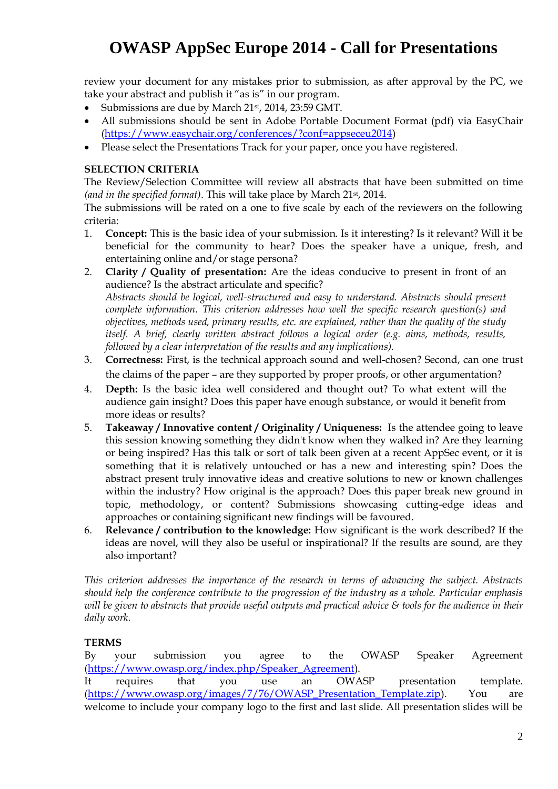# **OWASP AppSec Europe 2014 - Call for Presentations**

review your document for any mistakes prior to submission, as after approval by the PC, we take your abstract and publish it "as is" in our program.

- Submissions are due by March 21st, 2014, 23:59 GMT.
- All submissions should be sent in Adobe Portable Document Format (pdf) via EasyChair [\(https://www.easychair.org/conferences/?conf=appseceu2014\)](https://www.easychair.org/conferences/?conf=appseceu2014)
- Please select the Presentations Track for your paper, once you have registered.

#### **SELECTION CRITERIA**

The Review/Selection Committee will review all abstracts that have been submitted on time *(and in the specified format)*. This will take place by March 21st, 2014.

The submissions will be rated on a one to five scale by each of the reviewers on the following criteria:

- 1. **Concept:** This is the basic idea of your submission. Is it interesting? Is it relevant? Will it be beneficial for the community to hear? Does the speaker have a unique, fresh, and entertaining online and/or stage persona?
- 2. **Clarity / Quality of presentation:** Are the ideas conducive to present in front of an audience? Is the abstract articulate and specific? *Abstracts should be logical, well-structured and easy to understand. Abstracts should present complete information. This criterion addresses how well the specific research question(s) and objectives, methods used, primary results, etc. are explained, rather than the quality of the study*

*itself. A brief, clearly written abstract follows a logical order (e.g. aims, methods, results, followed by a clear interpretation of the results and any implications).*

- 3. **Correctness:** First, is the technical approach sound and well-chosen? Second, can one trust the claims of the paper – are they supported by proper proofs, or other argumentation?
- 4. **Depth:** Is the basic idea well considered and thought out? To what extent will the audience gain insight? Does this paper have enough substance, or would it benefit from more ideas or results?
- 5. **Takeaway / Innovative content / Originality / Uniqueness:** Is the attendee going to leave this session knowing something they didn't know when they walked in? Are they learning or being inspired? Has this talk or sort of talk been given at a recent AppSec event, or it is something that it is relatively untouched or has a new and interesting spin? Does the abstract present truly innovative ideas and creative solutions to new or known challenges within the industry? How original is the approach? Does this paper break new ground in topic, methodology, or content? Submissions showcasing cutting-edge ideas and approaches or containing significant new findings will be favoured.
- 6. **Relevance / contribution to the knowledge:** How significant is the work described? If the ideas are novel, will they also be useful or inspirational? If the results are sound, are they also important?

*This criterion addresses the importance of the research in terms of advancing the subject. Abstracts should help the conference contribute to the progression of the industry as a whole. Particular emphasis will be given to abstracts that provide useful outputs and practical advice & tools for the audience in their daily work.*

## **TERMS**

By your submission you agree to the OWASP Speaker Agreement [\(https://www.owasp.org/index.php/Speaker\\_Agreement\)](https://www.owasp.org/index.php/Speaker_Agreement). It requires that you use an OWASP presentation template. [\(https://www.owasp.org/images/7/76/OWASP\\_Presentation\\_Template.zip\)](https://www.owasp.org/images/7/76/OWASP_Presentation_Template.zip). You are welcome to include your company logo to the first and last slide. All presentation slides will be